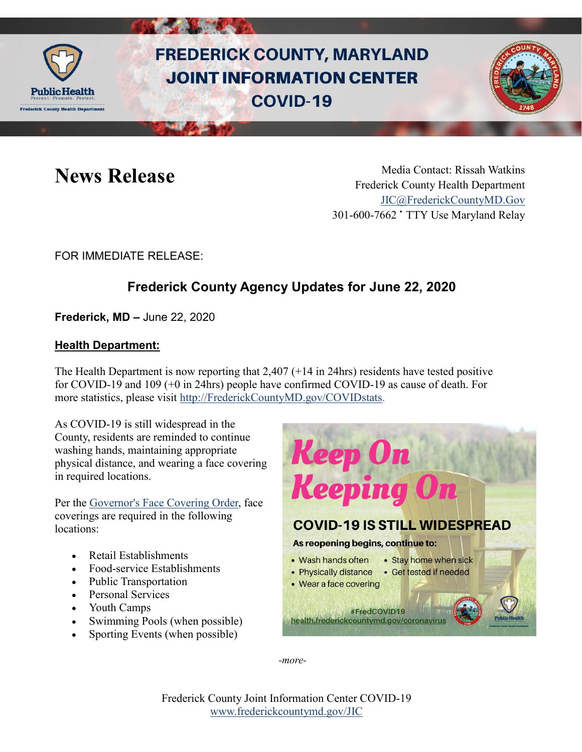

# **FREDERICK COUNTY, MARYLAND JOINT INFORMATION CENTER COVID-19**



News Release Media Contact: Rissah Watkins Frederick County Health Department [JIC@FrederickCountyMD.Gov](mailto:JIC@FrederickCountyMD.Gov) 301-600-7662 • TTY Use Maryland Relay

### FOR IMMEDIATE RELEASE:

## **Frederick County Agency Updates for June 22, 2020**

**Frederick, MD –** June 22, 2020

#### **Health Department:**

The Health Department is now reporting that 2,407 (+14 in 24hrs) residents have tested positive for COVID-19 and 109 (+0 in 24hrs) people have confirmed COVID-19 as cause of death. For more statistics, please visit [http://FrederickCountyMD.gov/COVIDstats.](http://frederickcountymd.gov/COVIDstats)

As COVID-19 is still widespread in the County, residents are reminded to continue washing hands, maintaining appropriate physical distance, and wearing a face covering in required locations.

Per the [Governor's Face Covering Order,](https://governor.maryland.gov/wp-content/uploads/2020/04/Masks-and-Physical-Distancing-4.15.20.pdf) face coverings are required in the following locations:

- Retail Establishments
- Food-service Establishments
- Public Transportation
- Personal Services
- Youth Camps
- Swimming Pools (when possible)
- Sporting Events (when possible)



*-more-*

Frederick County Joint Information Center COVID-19 [www.frederickcountymd.gov/JIC](https://frederickcountymd.gov/JIC)